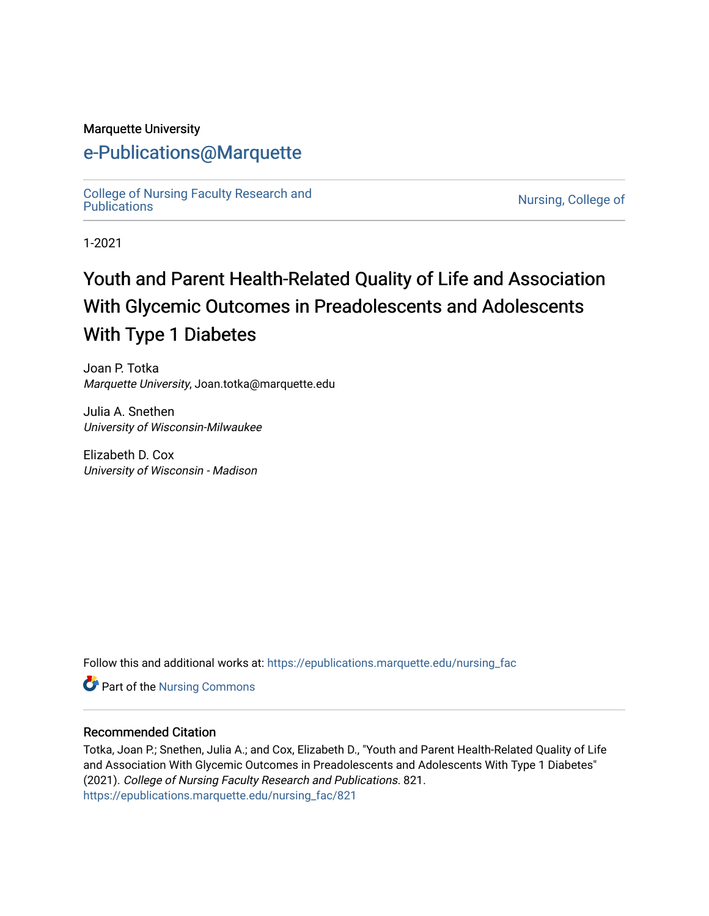#### Marquette University

## [e-Publications@Marquette](https://epublications.marquette.edu/)

[College of Nursing Faculty Research and](https://epublications.marquette.edu/nursing_fac)<br>Publications

Nursing, College of

1-2021

# Youth and Parent Health-Related Quality of Life and Association With Glycemic Outcomes in Preadolescents and Adolescents With Type 1 Diabetes

Joan P. Totka Marquette University, Joan.totka@marquette.edu

Julia A. Snethen University of Wisconsin-Milwaukee

Elizabeth D. Cox University of Wisconsin - Madison

Follow this and additional works at: [https://epublications.marquette.edu/nursing\\_fac](https://epublications.marquette.edu/nursing_fac?utm_source=epublications.marquette.edu%2Fnursing_fac%2F821&utm_medium=PDF&utm_campaign=PDFCoverPages)

Part of the [Nursing Commons](http://network.bepress.com/hgg/discipline/718?utm_source=epublications.marquette.edu%2Fnursing_fac%2F821&utm_medium=PDF&utm_campaign=PDFCoverPages) 

#### Recommended Citation

Totka, Joan P.; Snethen, Julia A.; and Cox, Elizabeth D., "Youth and Parent Health-Related Quality of Life and Association With Glycemic Outcomes in Preadolescents and Adolescents With Type 1 Diabetes" (2021). College of Nursing Faculty Research and Publications. 821. [https://epublications.marquette.edu/nursing\\_fac/821](https://epublications.marquette.edu/nursing_fac/821?utm_source=epublications.marquette.edu%2Fnursing_fac%2F821&utm_medium=PDF&utm_campaign=PDFCoverPages)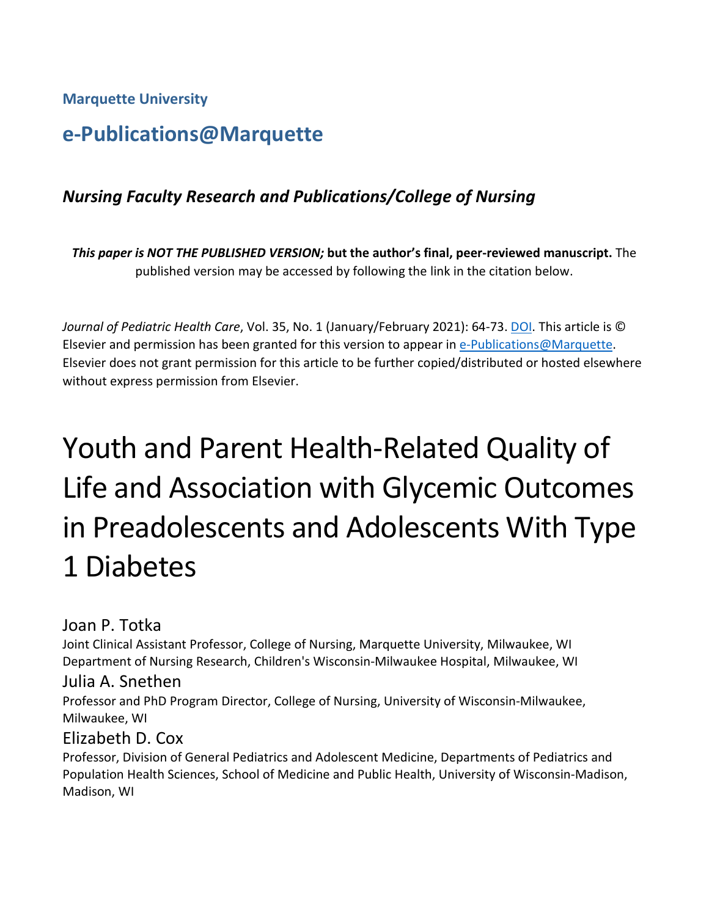**Marquette University**

## **e-Publications@Marquette**

## *Nursing Faculty Research and Publications/College of Nursing*

*This paper is NOT THE PUBLISHED VERSION;* **but the author's final, peer-reviewed manuscript.** The published version may be accessed by following the link in the citation below.

*Journal of Pediatric Health Care*, Vol. 35, No. 1 (January/February 2021): 64-73. [DOI.](file://vs-fs2/ACAD/LIB/The%20Commons/Projects/IR/IR%20training%20documents/dx.doi.org/10.1016/j.acalib.2009.06.017) This article is © Elsevier and permission has been granted for this version to appear in [e-Publications@Marquette.](http://epublications.marquette.edu/) Elsevier does not grant permission for this article to be further copied/distributed or hosted elsewhere without express permission from Elsevier.

# Youth and Parent Health-Related Quality of Life and Association with Glycemic Outcomes in Preadolescents and Adolescents With Type 1 Diabetes

Joan P. Totka

Joint Clinical Assistant Professor, College of Nursing, Marquette University, Milwaukee, WI Department of Nursing Research, Children's Wisconsin-Milwaukee Hospital, Milwaukee, WI

#### Julia A. Snethen

Professor and PhD Program Director, College of Nursing, University of Wisconsin-Milwaukee, Milwaukee, WI

## Elizabeth D. Cox

Professor, Division of General Pediatrics and Adolescent Medicine, Departments of Pediatrics and Population Health Sciences, School of Medicine and Public Health, University of Wisconsin-Madison, Madison, WI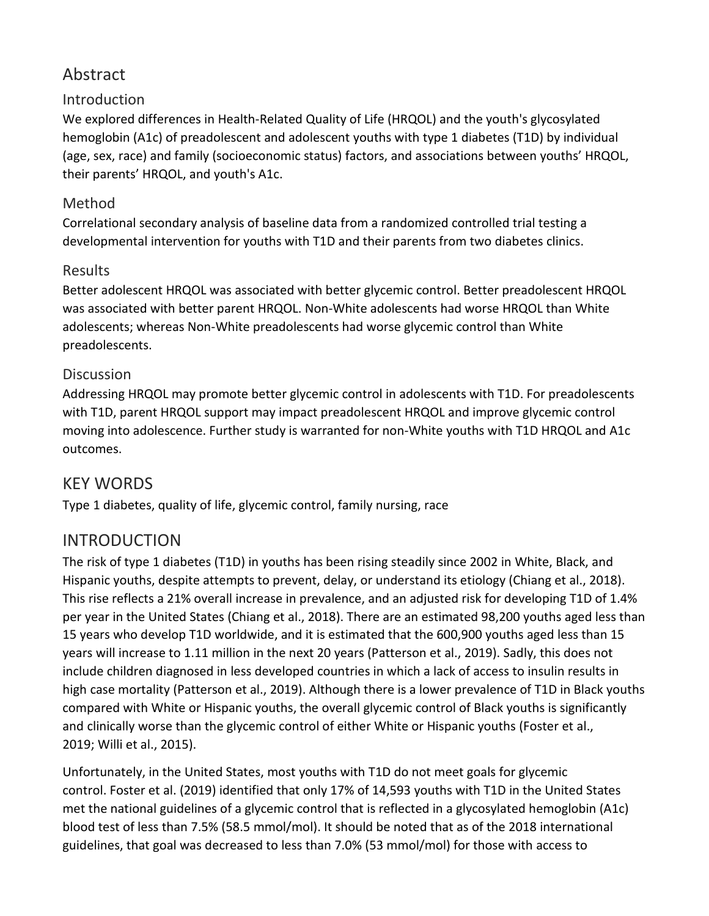## Abstract

#### Introduction

We explored differences in Health-Related Quality of Life (HRQOL) and the youth's glycosylated hemoglobin (A1c) of preadolescent and adolescent youths with type 1 diabetes (T1D) by individual (age, sex, race) and family (socioeconomic status) factors, and associations between youths' HRQOL, their parents' HRQOL, and youth's A1c.

#### Method

Correlational secondary analysis of baseline data from a randomized controlled trial testing a developmental intervention for youths with T1D and their parents from two diabetes clinics.

#### Results

Better adolescent HRQOL was associated with better glycemic control. Better preadolescent HRQOL was associated with better parent HRQOL. Non-White adolescents had worse HRQOL than White adolescents; whereas Non-White preadolescents had worse glycemic control than White preadolescents.

#### **Discussion**

Addressing HRQOL may promote better glycemic control in adolescents with T1D. For preadolescents with T1D, parent HRQOL support may impact preadolescent HRQOL and improve glycemic control moving into adolescence. Further study is warranted for non-White youths with T1D HRQOL and A1c outcomes.

## KEY WORDS

Type 1 diabetes, quality of life, glycemic control, family nursing, race

## INTRODUCTION

The risk of type 1 diabetes (T1D) in youths has been rising steadily since 2002 in White, Black, and Hispanic youths, despite attempts to prevent, delay, or understand its etiology (Chiang et al., 2018). This rise reflects a 21% overall increase in prevalence, and an adjusted risk for developing T1D of 1.4% per year in the United States (Chiang et al., 2018). There are an estimated 98,200 youths aged less than 15 years who develop T1D worldwide, and it is estimated that the 600,900 youths aged less than 15 years will increase to 1.11 million in the next 20 years (Patterson et al., 2019). Sadly, this does not include children diagnosed in less developed countries in which a lack of access to insulin results in high case mortality (Patterson et al., 2019). Although there is a lower prevalence of T1D in Black youths compared with White or Hispanic youths, the overall glycemic control of Black youths is significantly and clinically worse than the glycemic control of either White or Hispanic youths (Foster et al., 2019; Willi et al., 2015).

Unfortunately, in the United States, most youths with T1D do not meet goals for glycemic control. Foster et al. (2019) identified that only 17% of 14,593 youths with T1D in the United States met the national guidelines of a glycemic control that is reflected in a glycosylated hemoglobin (A1c) blood test of less than 7.5% (58.5 mmol/mol). It should be noted that as of the 2018 international guidelines, that goal was decreased to less than 7.0% (53 mmol/mol) for those with access to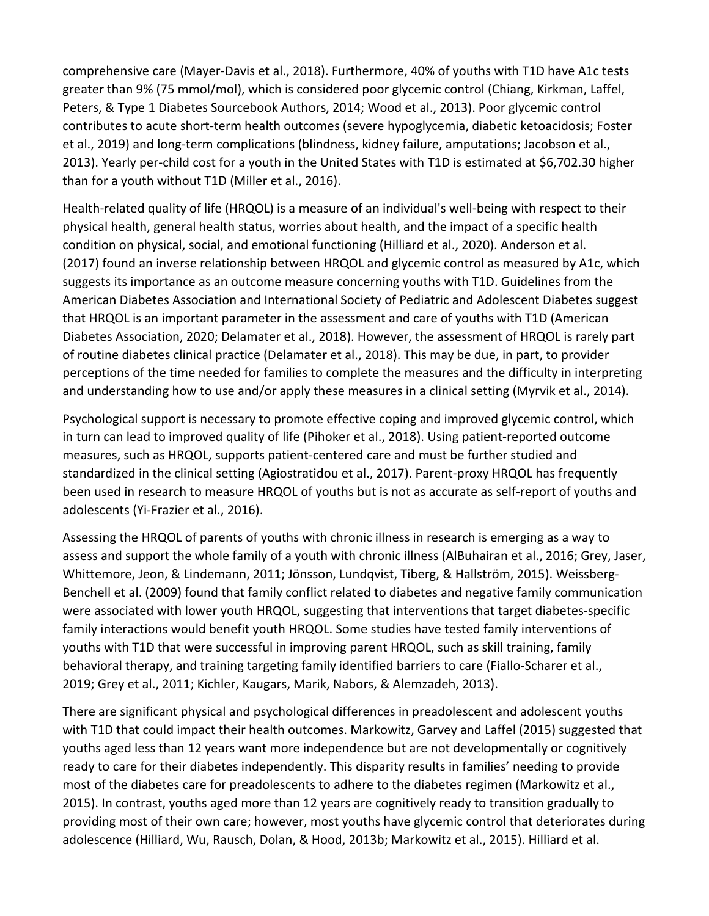comprehensive care (Mayer-Davis et al., 2018). Furthermore, 40% of youths with T1D have A1c tests greater than 9% (75 mmol/mol), which is considered poor glycemic control (Chiang, Kirkman, Laffel, Peters, & Type 1 Diabetes Sourcebook Authors, 2014; Wood et al., 2013). Poor glycemic control contributes to acute short-term health outcomes (severe hypoglycemia, diabetic ketoacidosis; Foster et al., 2019) and long-term complications (blindness, kidney failure, amputations; Jacobson et al., 2013). Yearly per-child cost for a youth in the United States with T1D is estimated at \$6,702.30 higher than for a youth without T1D (Miller et al., 2016).

Health-related quality of life (HRQOL) is a measure of an individual's well-being with respect to their physical health, general health status, worries about health, and the impact of a specific health condition on physical, social, and emotional functioning (Hilliard et al., 2020). Anderson et al. (2017) found an inverse relationship between HRQOL and glycemic control as measured by A1c, which suggests its importance as an outcome measure concerning youths with T1D. Guidelines from the American Diabetes Association and International Society of Pediatric and Adolescent Diabetes suggest that HRQOL is an important parameter in the assessment and care of youths with T1D (American Diabetes Association, 2020; Delamater et al., 2018). However, the assessment of HRQOL is rarely part of routine diabetes clinical practice (Delamater et al., 2018). This may be due, in part, to provider perceptions of the time needed for families to complete the measures and the difficulty in interpreting and understanding how to use and/or apply these measures in a clinical setting (Myrvik et al., 2014).

Psychological support is necessary to promote effective coping and improved glycemic control, which in turn can lead to improved quality of life (Pihoker et al., 2018). Using patient-reported outcome measures, such as HRQOL, supports patient-centered care and must be further studied and standardized in the clinical setting (Agiostratidou et al., 2017). Parent-proxy HRQOL has frequently been used in research to measure HRQOL of youths but is not as accurate as self-report of youths and adolescents (Yi-Frazier et al., 2016).

Assessing the HRQOL of parents of youths with chronic illness in research is emerging as a way to assess and support the whole family of a youth with chronic illness (AlBuhairan et al., 2016; Grey, Jaser, Whittemore, Jeon, & Lindemann, 2011; Jönsson, Lundqvist, Tiberg, & Hallström, 2015). Weissberg-Benchell et al. (2009) found that family conflict related to diabetes and negative family communication were associated with lower youth HRQOL, suggesting that interventions that target diabetes-specific family interactions would benefit youth HRQOL. Some studies have tested family interventions of youths with T1D that were successful in improving parent HRQOL, such as skill training, family behavioral therapy, and training targeting family identified barriers to care (Fiallo-Scharer et al., 2019; Grey et al., 2011; Kichler, Kaugars, Marik, Nabors, & Alemzadeh, 2013).

There are significant physical and psychological differences in preadolescent and adolescent youths with T1D that could impact their health outcomes. Markowitz, Garvey and Laffel (2015) suggested that youths aged less than 12 years want more independence but are not developmentally or cognitively ready to care for their diabetes independently. This disparity results in families' needing to provide most of the diabetes care for preadolescents to adhere to the diabetes regimen (Markowitz et al., 2015). In contrast, youths aged more than 12 years are cognitively ready to transition gradually to providing most of their own care; however, most youths have glycemic control that deteriorates during adolescence (Hilliard, Wu, Rausch, Dolan, & Hood, 2013b; Markowitz et al., 2015). Hilliard et al.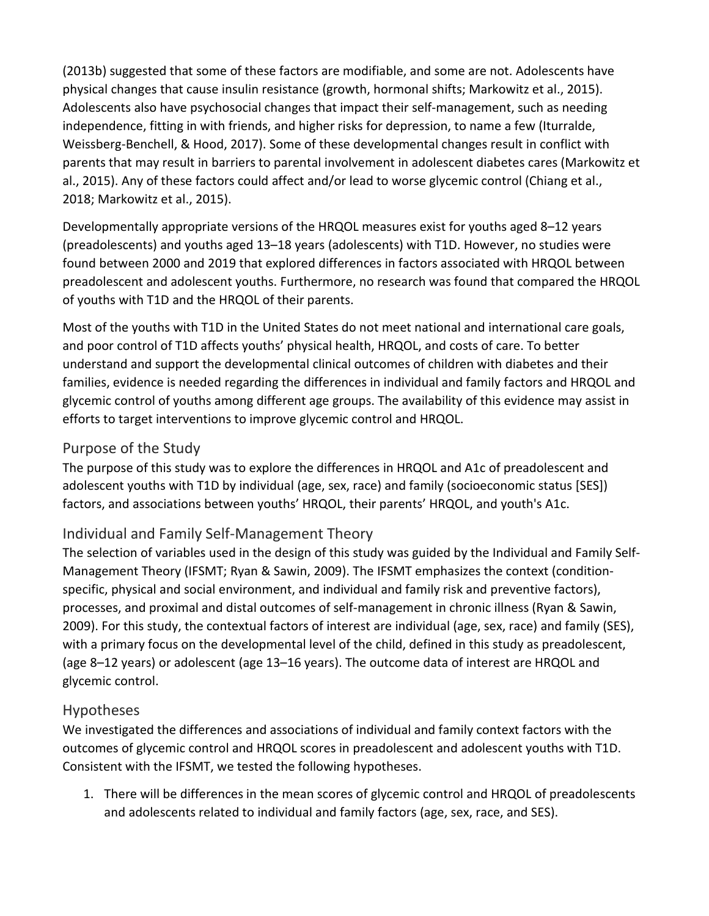(2013b) suggested that some of these factors are modifiable, and some are not. Adolescents have physical changes that cause insulin resistance (growth, hormonal shifts; Markowitz et al., 2015). Adolescents also have psychosocial changes that impact their self-management, such as needing independence, fitting in with friends, and higher risks for depression, to name a few (Iturralde, Weissberg-Benchell, & Hood, 2017). Some of these developmental changes result in conflict with parents that may result in barriers to parental involvement in adolescent diabetes cares (Markowitz et al., 2015). Any of these factors could affect and/or lead to worse glycemic control (Chiang et al., 2018; Markowitz et al., 2015).

Developmentally appropriate versions of the HRQOL measures exist for youths aged 8–12 years (preadolescents) and youths aged 13–18 years (adolescents) with T1D. However, no studies were found between 2000 and 2019 that explored differences in factors associated with HRQOL between preadolescent and adolescent youths. Furthermore, no research was found that compared the HRQOL of youths with T1D and the HRQOL of their parents.

Most of the youths with T1D in the United States do not meet national and international care goals, and poor control of T1D affects youths' physical health, HRQOL, and costs of care. To better understand and support the developmental clinical outcomes of children with diabetes and their families, evidence is needed regarding the differences in individual and family factors and HRQOL and glycemic control of youths among different age groups. The availability of this evidence may assist in efforts to target interventions to improve glycemic control and HRQOL.

#### Purpose of the Study

The purpose of this study was to explore the differences in HRQOL and A1c of preadolescent and adolescent youths with T1D by individual (age, sex, race) and family (socioeconomic status [SES]) factors, and associations between youths' HRQOL, their parents' HRQOL, and youth's A1c.

#### Individual and Family Self-Management Theory

The selection of variables used in the design of this study was guided by the Individual and Family Self-Management Theory (IFSMT; Ryan & Sawin, 2009). The IFSMT emphasizes the context (conditionspecific, physical and social environment, and individual and family risk and preventive factors), processes, and proximal and distal outcomes of self-management in chronic illness (Ryan & Sawin, 2009). For this study, the contextual factors of interest are individual (age, sex, race) and family (SES), with a primary focus on the developmental level of the child, defined in this study as preadolescent, (age 8–12 years) or adolescent (age 13–16 years). The outcome data of interest are HRQOL and glycemic control.

#### Hypotheses

We investigated the differences and associations of individual and family context factors with the outcomes of glycemic control and HRQOL scores in preadolescent and adolescent youths with T1D. Consistent with the IFSMT, we tested the following hypotheses.

1. There will be differences in the mean scores of glycemic control and HRQOL of preadolescents and adolescents related to individual and family factors (age, sex, race, and SES).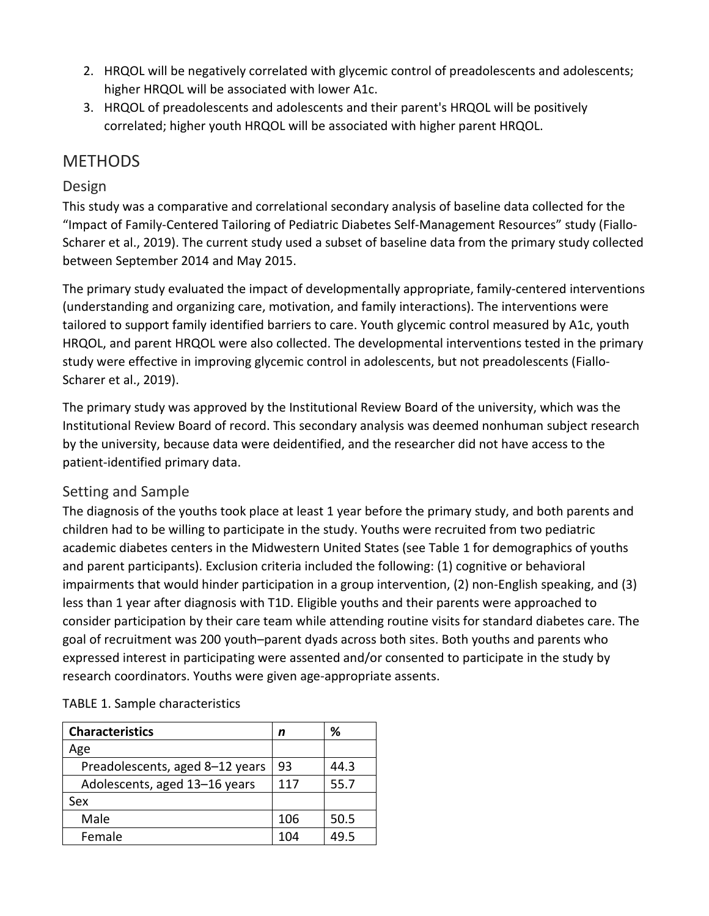- 2. HRQOL will be negatively correlated with glycemic control of preadolescents and adolescents; higher HRQOL will be associated with lower A1c.
- 3. HRQOL of preadolescents and adolescents and their parent's HRQOL will be positively correlated; higher youth HRQOL will be associated with higher parent HRQOL.

#### **METHODS**

#### Design

This study was a comparative and correlational secondary analysis of baseline data collected for the "Impact of Family-Centered Tailoring of Pediatric Diabetes Self-Management Resources" study (Fiallo-Scharer et al., 2019). The current study used a subset of baseline data from the primary study collected between September 2014 and May 2015.

The primary study evaluated the impact of developmentally appropriate, family-centered interventions (understanding and organizing care, motivation, and family interactions). The interventions were tailored to support family identified barriers to care. Youth glycemic control measured by A1c, youth HRQOL, and parent HRQOL were also collected. The developmental interventions tested in the primary study were effective in improving glycemic control in adolescents, but not preadolescents (Fiallo-Scharer et al., 2019).

The primary study was approved by the Institutional Review Board of the university, which was the Institutional Review Board of record. This secondary analysis was deemed nonhuman subject research by the university, because data were deidentified, and the researcher did not have access to the patient-identified primary data.

#### Setting and Sample

The diagnosis of the youths took place at least 1 year before the primary study, and both parents and children had to be willing to participate in the study. Youths were recruited from two pediatric academic diabetes centers in the Midwestern United States (see Table 1 for demographics of youths and parent participants). Exclusion criteria included the following: (1) cognitive or behavioral impairments that would hinder participation in a group intervention, (2) non-English speaking, and (3) less than 1 year after diagnosis with T1D. Eligible youths and their parents were approached to consider participation by their care team while attending routine visits for standard diabetes care. The goal of recruitment was 200 youth–parent dyads across both sites. Both youths and parents who expressed interest in participating were assented and/or consented to participate in the study by research coordinators. Youths were given age-appropriate assents.

| <b>Characteristics</b>          | n   | ℅    |
|---------------------------------|-----|------|
| Age                             |     |      |
| Preadolescents, aged 8-12 years | 93  | 44.3 |
| Adolescents, aged 13-16 years   | 117 | 55.7 |
| Sex                             |     |      |
| Male                            | 106 | 50.5 |
| Female                          | 104 | 495  |

#### TABLE 1. Sample characteristics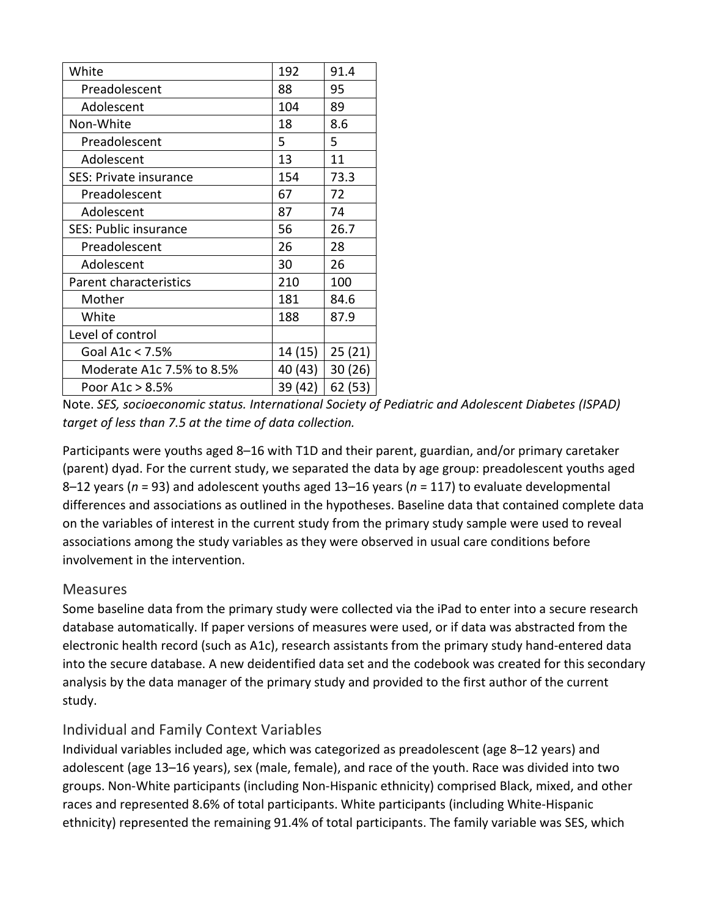| White                         | 192     | 91.4    |
|-------------------------------|---------|---------|
| Preadolescent                 | 88      | 95      |
| Adolescent                    | 104     | 89      |
| Non-White                     | 18      | 8.6     |
| Preadolescent                 | 5       | 5       |
| Adolescent                    | 13      | 11      |
| <b>SES: Private insurance</b> | 154     | 73.3    |
| Preadolescent                 | 67      | 72      |
| Adolescent                    | 87      | 74      |
| <b>SES: Public insurance</b>  | 56      | 26.7    |
| Preadolescent                 | 26      | 28      |
| Adolescent                    | 30      | 26      |
| Parent characteristics        | 210     | 100     |
| Mother                        | 181     | 84.6    |
| White                         | 188     | 87.9    |
| Level of control              |         |         |
| Goal A1 $c < 7.5%$            | 14 (15) | 25(21)  |
| Moderate A1c 7.5% to 8.5%     | 40 (43) | 30(26)  |
| Poor A1c > 8.5%               | 39 (42) | 62 (53) |
|                               |         |         |

Note. *SES, socioeconomic status. International Society of Pediatric and Adolescent Diabetes (ISPAD) target of less than 7.5 at the time of data collection.*

Participants were youths aged 8–16 with T1D and their parent, guardian, and/or primary caretaker (parent) dyad. For the current study, we separated the data by age group: preadolescent youths aged 8–12 years (*n* = 93) and adolescent youths aged 13–16 years (*n* = 117) to evaluate developmental differences and associations as outlined in the hypotheses. Baseline data that contained complete data on the variables of interest in the current study from the primary study sample were used to reveal associations among the study variables as they were observed in usual care conditions before involvement in the intervention.

#### **Measures**

Some baseline data from the primary study were collected via the iPad to enter into a secure research database automatically. If paper versions of measures were used, or if data was abstracted from the electronic health record (such as A1c), research assistants from the primary study hand-entered data into the secure database. A new deidentified data set and the codebook was created for this secondary analysis by the data manager of the primary study and provided to the first author of the current study.

#### Individual and Family Context Variables

Individual variables included age, which was categorized as preadolescent (age 8–12 years) and adolescent (age 13–16 years), sex (male, female), and race of the youth. Race was divided into two groups. Non-White participants (including Non-Hispanic ethnicity) comprised Black, mixed, and other races and represented 8.6% of total participants. White participants (including White-Hispanic ethnicity) represented the remaining 91.4% of total participants. The family variable was SES, which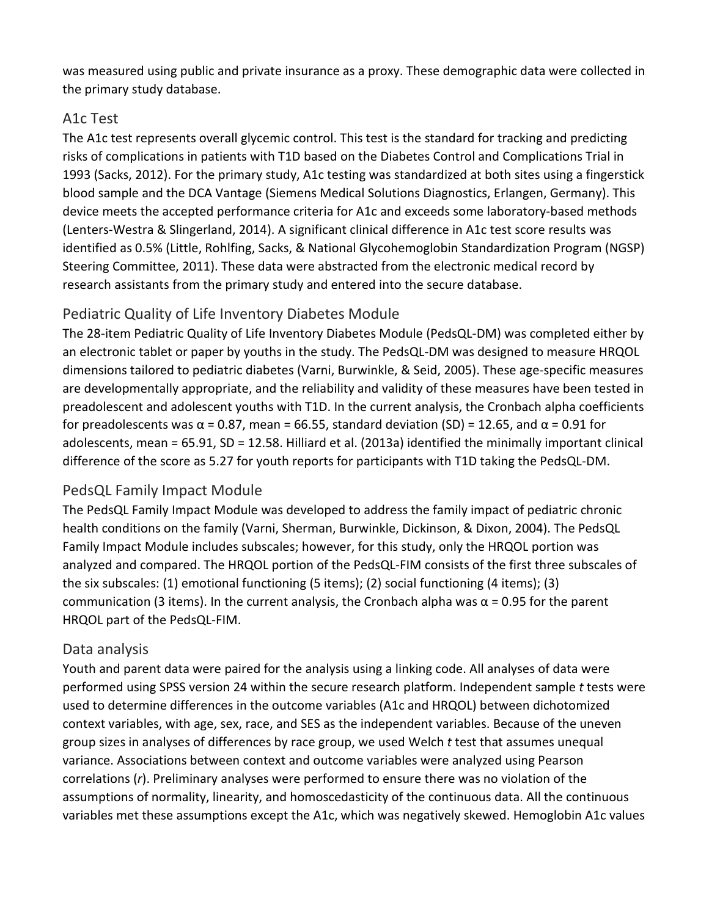was measured using public and private insurance as a proxy. These demographic data were collected in the primary study database.

#### A1c Test

The A1c test represents overall glycemic control. This test is the standard for tracking and predicting risks of complications in patients with T1D based on the Diabetes Control and Complications Trial in 1993 (Sacks, 2012). For the primary study, A1c testing was standardized at both sites using a fingerstick blood sample and the DCA Vantage (Siemens Medical Solutions Diagnostics, Erlangen, Germany). This device meets the accepted performance criteria for A1c and exceeds some laboratory-based methods (Lenters-Westra & Slingerland, 2014). A significant clinical difference in A1c test score results was identified as 0.5% (Little, Rohlfing, Sacks, & National Glycohemoglobin Standardization Program (NGSP) Steering Committee, 2011). These data were abstracted from the electronic medical record by research assistants from the primary study and entered into the secure database.

#### Pediatric Quality of Life Inventory Diabetes Module

The 28-item Pediatric Quality of Life Inventory Diabetes Module (PedsQL-DM) was completed either by an electronic tablet or paper by youths in the study. The PedsQL-DM was designed to measure HRQOL dimensions tailored to pediatric diabetes (Varni, Burwinkle, & Seid, 2005). These age-specific measures are developmentally appropriate, and the reliability and validity of these measures have been tested in preadolescent and adolescent youths with T1D. In the current analysis, the Cronbach alpha coefficients for preadolescents was α = 0.87, mean = 66.55, standard deviation (SD) = 12.65, and α = 0.91 for adolescents, mean = 65.91, SD = 12.58. Hilliard et al. (2013a) identified the minimally important clinical difference of the score as 5.27 for youth reports for participants with T1D taking the PedsQL-DM.

#### PedsQL Family Impact Module

The PedsQL Family Impact Module was developed to address the family impact of pediatric chronic health conditions on the family (Varni, Sherman, Burwinkle, Dickinson, & Dixon, 2004). The PedsQL Family Impact Module includes subscales; however, for this study, only the HRQOL portion was analyzed and compared. The HRQOL portion of the PedsQL-FIM consists of the first three subscales of the six subscales: (1) emotional functioning (5 items); (2) social functioning (4 items); (3) communication (3 items). In the current analysis, the Cronbach alpha was  $\alpha$  = 0.95 for the parent HRQOL part of the PedsQL-FIM.

#### Data analysis

Youth and parent data were paired for the analysis using a linking code. All analyses of data were performed using SPSS version 24 within the secure research platform. Independent sample *t* tests were used to determine differences in the outcome variables (A1c and HRQOL) between dichotomized context variables, with age, sex, race, and SES as the independent variables. Because of the uneven group sizes in analyses of differences by race group, we used Welch *t* test that assumes unequal variance. Associations between context and outcome variables were analyzed using Pearson correlations (*r*). Preliminary analyses were performed to ensure there was no violation of the assumptions of normality, linearity, and homoscedasticity of the continuous data. All the continuous variables met these assumptions except the A1c, which was negatively skewed. Hemoglobin A1c values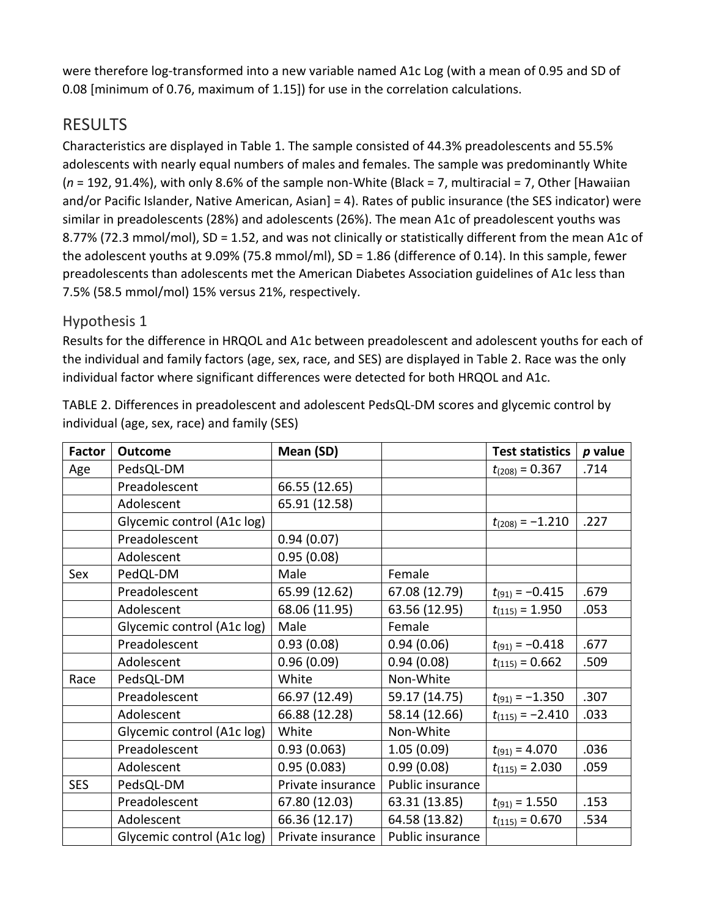were therefore log-transformed into a new variable named A1c Log (with a mean of 0.95 and SD of 0.08 [minimum of 0.76, maximum of 1.15]) for use in the correlation calculations.

## RESULTS

Characteristics are displayed in Table 1. The sample consisted of 44.3% preadolescents and 55.5% adolescents with nearly equal numbers of males and females. The sample was predominantly White (*n* = 192, 91.4%), with only 8.6% of the sample non-White (Black = 7, multiracial = 7, Other [Hawaiian and/or Pacific Islander, Native American, Asian] = 4). Rates of public insurance (the SES indicator) were similar in preadolescents (28%) and adolescents (26%). The mean A1c of preadolescent youths was 8.77% (72.3 mmol/mol), SD = 1.52, and was not clinically or statistically different from the mean A1c of the adolescent youths at 9.09% (75.8 mmol/ml), SD = 1.86 (difference of 0.14). In this sample, fewer preadolescents than adolescents met the American Diabetes Association guidelines of A1c less than 7.5% (58.5 mmol/mol) 15% versus 21%, respectively.

#### Hypothesis 1

Results for the difference in HRQOL and A1c between preadolescent and adolescent youths for each of the individual and family factors (age, sex, race, and SES) are displayed in Table 2. Race was the only individual factor where significant differences were detected for both HRQOL and A1c.

| <b>Factor</b> | <b>Outcome</b>             | Mean (SD)         |                  | <b>Test statistics</b> | $p$ value |
|---------------|----------------------------|-------------------|------------------|------------------------|-----------|
| Age           | PedsQL-DM                  |                   |                  | $t_{(208)} = 0.367$    | .714      |
|               | Preadolescent              | 66.55 (12.65)     |                  |                        |           |
|               | Adolescent                 | 65.91 (12.58)     |                  |                        |           |
|               | Glycemic control (A1c log) |                   |                  | $t_{(208)} = -1.210$   | .227      |
|               | Preadolescent              | 0.94(0.07)        |                  |                        |           |
|               | Adolescent                 | 0.95(0.08)        |                  |                        |           |
| Sex           | PedQL-DM                   | Male              | Female           |                        |           |
|               | Preadolescent              | 65.99 (12.62)     | 67.08 (12.79)    | $t_{(91)} = -0.415$    | .679      |
|               | Adolescent                 | 68.06 (11.95)     | 63.56 (12.95)    | $t_{(115)} = 1.950$    | .053      |
|               | Glycemic control (A1c log) | Male              | Female           |                        |           |
|               | Preadolescent              | 0.93(0.08)        | 0.94(0.06)       | $t_{(91)} = -0.418$    | .677      |
|               | Adolescent                 | 0.96(0.09)        | 0.94(0.08)       | $t_{(115)} = 0.662$    | .509      |
| Race          | PedsQL-DM                  | White             | Non-White        |                        |           |
|               | Preadolescent              | 66.97 (12.49)     | 59.17 (14.75)    | $t_{(91)} = -1.350$    | .307      |
|               | Adolescent                 | 66.88 (12.28)     | 58.14 (12.66)    | $t_{(115)} = -2.410$   | .033      |
|               | Glycemic control (A1c log) | White             | Non-White        |                        |           |
|               | Preadolescent              | 0.93(0.063)       | 1.05(0.09)       | $t_{(91)} = 4.070$     | .036      |
|               | Adolescent                 | 0.95(0.083)       | 0.99(0.08)       | $t_{(115)} = 2.030$    | .059      |
| <b>SES</b>    | PedsQL-DM                  | Private insurance | Public insurance |                        |           |
|               | Preadolescent              | 67.80 (12.03)     | 63.31 (13.85)    | $t_{(91)} = 1.550$     | .153      |
|               | Adolescent                 | 66.36 (12.17)     | 64.58 (13.82)    | $t_{(115)} = 0.670$    | .534      |
|               | Glycemic control (A1c log) | Private insurance | Public insurance |                        |           |

TABLE 2. Differences in preadolescent and adolescent PedsQL-DM scores and glycemic control by individual (age, sex, race) and family (SES)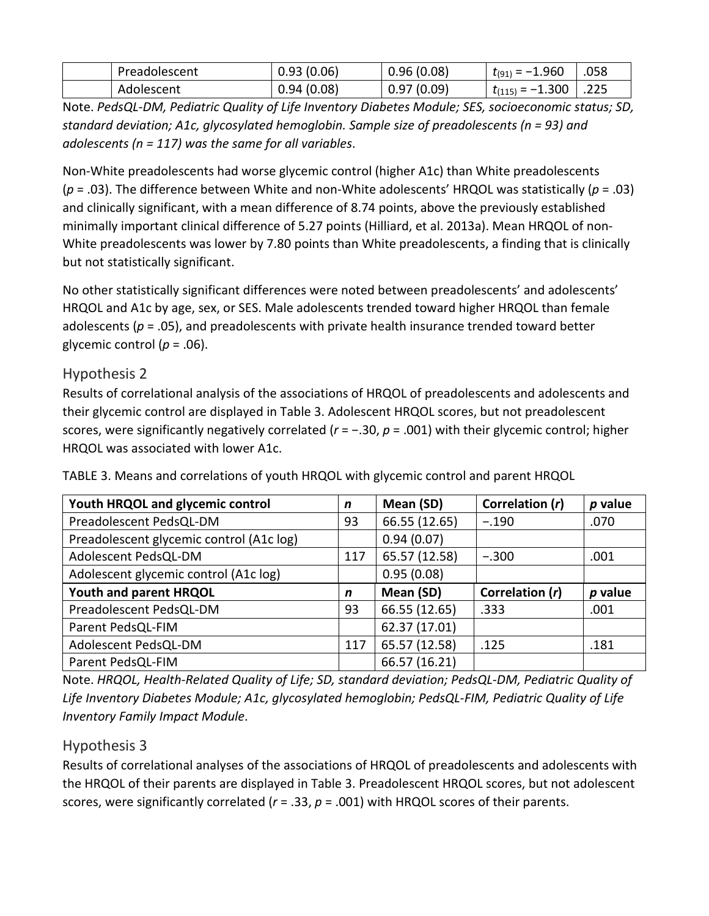| Preadolescent | 0.93(0.06) | 0.96(0.08)  | $t_{(91)} = -1.960$  | .058 |
|---------------|------------|-------------|----------------------|------|
| Adolescent    | 0.94(0.08) | ህ.97 (ዐ.ዐ9) | $t_{(115)} = -1.300$ | .225 |

Note. *PedsQL-DM, Pediatric Quality of Life Inventory Diabetes Module; SES, socioeconomic status; SD, standard deviation; A1c, glycosylated hemoglobin. Sample size of preadolescents (n = 93) and adolescents (n = 117) was the same for all variables*.

Non-White preadolescents had worse glycemic control (higher A1c) than White preadolescents (*p* = .03). The difference between White and non-White adolescents' HRQOL was statistically (*p* = .03) and clinically significant, with a mean difference of 8.74 points, above the previously established minimally important clinical difference of 5.27 points (Hilliard, et al. 2013a). Mean HRQOL of non-White preadolescents was lower by 7.80 points than White preadolescents, a finding that is clinically but not statistically significant.

No other statistically significant differences were noted between preadolescents' and adolescents' HRQOL and A1c by age, sex, or SES. Male adolescents trended toward higher HRQOL than female adolescents (*p* = .05), and preadolescents with private health insurance trended toward better glycemic control ( $p = .06$ ).

#### Hypothesis 2

Results of correlational analysis of the associations of HRQOL of preadolescents and adolescents and their glycemic control are displayed in Table 3. Adolescent HRQOL scores, but not preadolescent scores, were significantly negatively correlated (*r* = −.30, *p* = .001) with their glycemic control; higher HRQOL was associated with lower A1c.

| Youth HRQOL and glycemic control         | $\mathsf{n}$ | Mean (SD)     | Correlation (r) | $p$ value |
|------------------------------------------|--------------|---------------|-----------------|-----------|
| Preadolescent PedsQL-DM                  | 93           | 66.55 (12.65) | $-.190$         | .070      |
| Preadolescent glycemic control (A1c log) |              | 0.94(0.07)    |                 |           |
| Adolescent PedsQL-DM                     | 117          | 65.57 (12.58) | $-.300$         | .001      |
| Adolescent glycemic control (A1c log)    |              | 0.95(0.08)    |                 |           |
|                                          |              |               |                 |           |
| Youth and parent HRQOL                   | n            | Mean (SD)     | Correlation (r) | p value   |
| Preadolescent PedsQL-DM                  | 93           | 66.55 (12.65) | .333            | .001      |
| Parent PedsQL-FIM                        |              | 62.37 (17.01) |                 |           |
| Adolescent PedsQL-DM                     | 117          | 65.57 (12.58) | .125            | .181      |

TABLE 3. Means and correlations of youth HRQOL with glycemic control and parent HRQOL

Note. *HRQOL, Health-Related Quality of Life; SD, standard deviation; PedsQL-DM, Pediatric Quality of Life Inventory Diabetes Module; A1c, glycosylated hemoglobin; PedsQL-FIM, Pediatric Quality of Life Inventory Family Impact Module*.

#### Hypothesis 3

Results of correlational analyses of the associations of HRQOL of preadolescents and adolescents with the HRQOL of their parents are displayed in Table 3. Preadolescent HRQOL scores, but not adolescent scores, were significantly correlated (*r* = .33, *p* = .001) with HRQOL scores of their parents.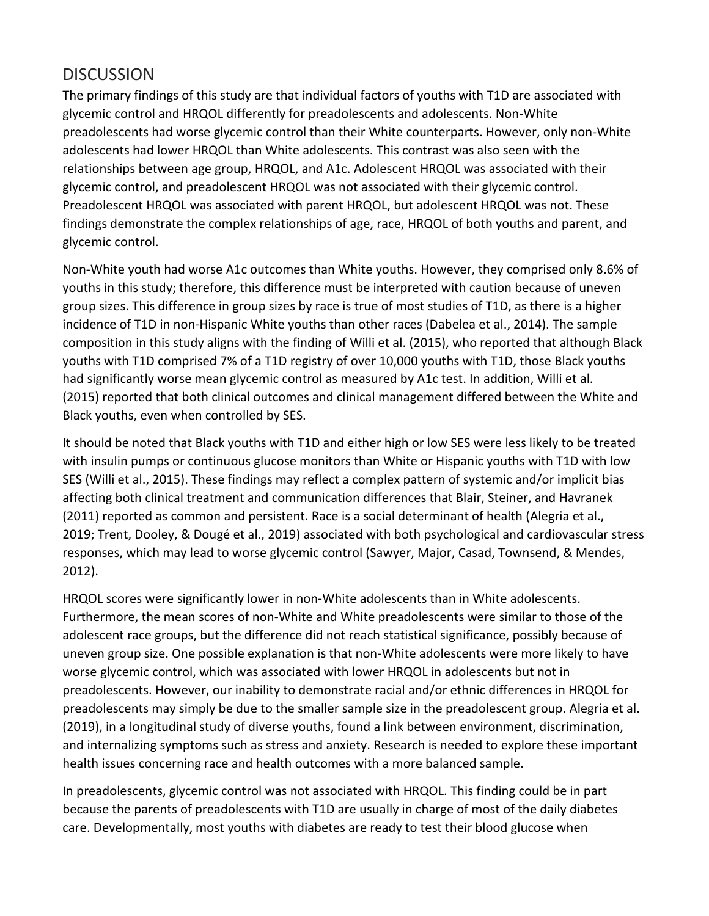### **DISCUSSION**

The primary findings of this study are that individual factors of youths with T1D are associated with glycemic control and HRQOL differently for preadolescents and adolescents. Non-White preadolescents had worse glycemic control than their White counterparts. However, only non-White adolescents had lower HRQOL than White adolescents. This contrast was also seen with the relationships between age group, HRQOL, and A1c. Adolescent HRQOL was associated with their glycemic control, and preadolescent HRQOL was not associated with their glycemic control. Preadolescent HRQOL was associated with parent HRQOL, but adolescent HRQOL was not. These findings demonstrate the complex relationships of age, race, HRQOL of both youths and parent, and glycemic control.

Non-White youth had worse A1c outcomes than White youths. However, they comprised only 8.6% of youths in this study; therefore, this difference must be interpreted with caution because of uneven group sizes. This difference in group sizes by race is true of most studies of T1D, as there is a higher incidence of T1D in non-Hispanic White youths than other races (Dabelea et al., 2014). The sample composition in this study aligns with the finding of Willi et al. (2015), who reported that although Black youths with T1D comprised 7% of a T1D registry of over 10,000 youths with T1D, those Black youths had significantly worse mean glycemic control as measured by A1c test. In addition, Willi et al. (2015) reported that both clinical outcomes and clinical management differed between the White and Black youths, even when controlled by SES.

It should be noted that Black youths with T1D and either high or low SES were less likely to be treated with insulin pumps or continuous glucose monitors than White or Hispanic youths with T1D with low SES (Willi et al., 2015). These findings may reflect a complex pattern of systemic and/or implicit bias affecting both clinical treatment and communication differences that Blair, Steiner, and Havranek (2011) reported as common and persistent. Race is a social determinant of health (Alegria et al., 2019; Trent, Dooley, & Dougé et al., 2019) associated with both psychological and cardiovascular stress responses, which may lead to worse glycemic control (Sawyer, Major, Casad, Townsend, & Mendes, 2012).

HRQOL scores were significantly lower in non-White adolescents than in White adolescents. Furthermore, the mean scores of non-White and White preadolescents were similar to those of the adolescent race groups, but the difference did not reach statistical significance, possibly because of uneven group size. One possible explanation is that non-White adolescents were more likely to have worse glycemic control, which was associated with lower HRQOL in adolescents but not in preadolescents. However, our inability to demonstrate racial and/or ethnic differences in HRQOL for preadolescents may simply be due to the smaller sample size in the preadolescent group. Alegria et al. (2019), in a longitudinal study of diverse youths, found a link between environment, discrimination, and internalizing symptoms such as stress and anxiety. Research is needed to explore these important health issues concerning race and health outcomes with a more balanced sample.

In preadolescents, glycemic control was not associated with HRQOL. This finding could be in part because the parents of preadolescents with T1D are usually in charge of most of the daily diabetes care. Developmentally, most youths with diabetes are ready to test their blood glucose when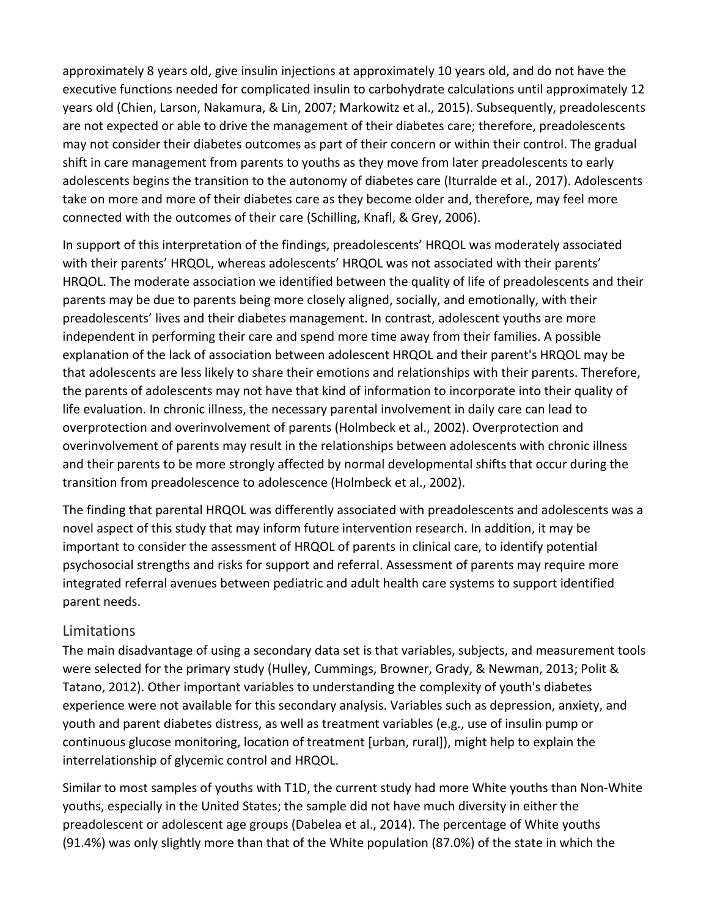approximately 8 years old, give insulin injections at approximately 10 years old, and do not have the executive functions needed for complicated insulin to carbohydrate calculations until approximately 12 years old (Chien, Larson, Nakamura, & Lin, 2007; Markowitz et al., 2015). Subsequently, preadolescents are not expected or able to drive the management of their diabetes care; therefore, preadolescents may not consider their diabetes outcomes as part of their concern or within their control. The gradual shift in care management from parents to youths as they move from later preadolescents to early adolescents begins the transition to the autonomy of diabetes care (Iturralde et al., 2017). Adolescents take on more and more of their diabetes care as they become older and, therefore, may feel more connected with the outcomes of their care (Schilling, Knafl, & Grey, 2006).

In support of this interpretation of the findings, preadolescents' HRQOL was moderately associated with their parents' HRQOL, whereas adolescents' HRQOL was not associated with their parents' HRQOL. The moderate association we identified between the quality of life of preadolescents and their parents may be due to parents being more closely aligned, socially, and emotionally, with their preadolescents' lives and their diabetes management. In contrast, adolescent youths are more independent in performing their care and spend more time away from their families. A possible explanation of the lack of association between adolescent HRQOL and their parent's HRQOL may be that adolescents are less likely to share their emotions and relationships with their parents. Therefore, the parents of adolescents may not have that kind of information to incorporate into their quality of life evaluation. In chronic illness, the necessary parental involvement in daily care can lead to overprotection and overinvolvement of parents (Holmbeck et al., 2002). Overprotection and overinvolvement of parents may result in the relationships between adolescents with chronic illness and their parents to be more strongly affected by normal developmental shifts that occur during the transition from preadolescence to adolescence (Holmbeck et al., 2002).

The finding that parental HRQOL was differently associated with preadolescents and adolescents was a novel aspect of this study that may inform future intervention research. In addition, it may be important to consider the assessment of HRQOL of parents in clinical care, to identify potential psychosocial strengths and risks for support and referral. Assessment of parents may require more integrated referral avenues between pediatric and adult health care systems to support identified parent needs.

#### Limitations

The main disadvantage of using a secondary data set is that variables, subjects, and measurement tools were selected for the primary study (Hulley, Cummings, Browner, Grady, & Newman, 2013; Polit & Tatano, 2012). Other important variables to understanding the complexity of youth's diabetes experience were not available for this secondary analysis. Variables such as depression, anxiety, and youth and parent diabetes distress, as well as treatment variables (e.g., use of insulin pump or continuous glucose monitoring, location of treatment [urban, rural]), might help to explain the interrelationship of glycemic control and HRQOL.

Similar to most samples of youths with T1D, the current study had more White youths than Non-White youths, especially in the United States; the sample did not have much diversity in either the preadolescent or adolescent age groups (Dabelea et al., 2014). The percentage of White youths (91.4%) was only slightly more than that of the White population (87.0%) of the state in which the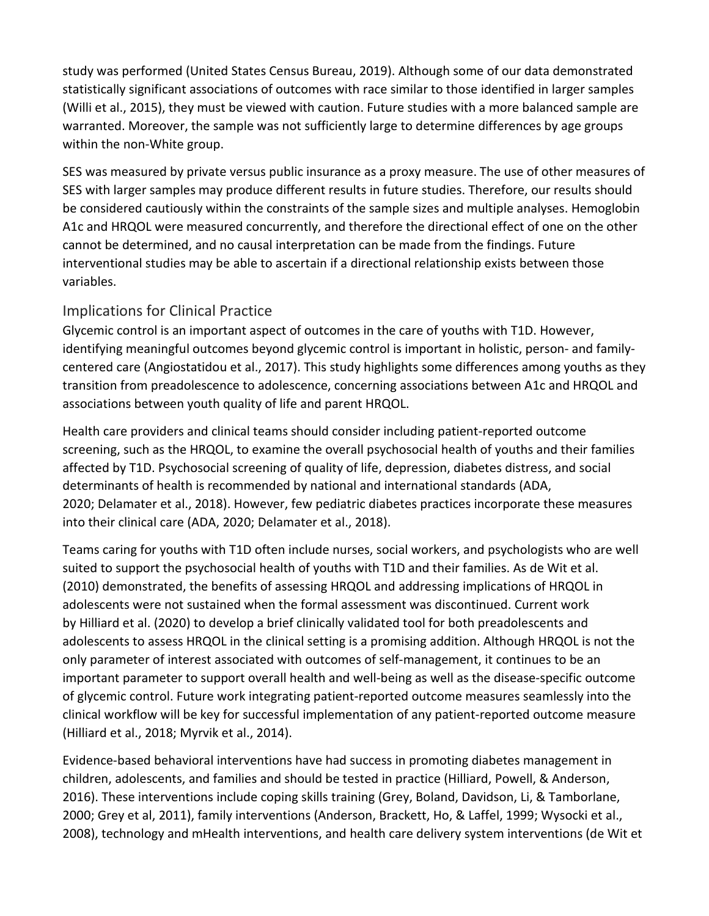study was performed (United States Census Bureau, 2019). Although some of our data demonstrated statistically significant associations of outcomes with race similar to those identified in larger samples (Willi et al., 2015), they must be viewed with caution. Future studies with a more balanced sample are warranted. Moreover, the sample was not sufficiently large to determine differences by age groups within the non-White group.

SES was measured by private versus public insurance as a proxy measure. The use of other measures of SES with larger samples may produce different results in future studies. Therefore, our results should be considered cautiously within the constraints of the sample sizes and multiple analyses. Hemoglobin A1c and HRQOL were measured concurrently, and therefore the directional effect of one on the other cannot be determined, and no causal interpretation can be made from the findings. Future interventional studies may be able to ascertain if a directional relationship exists between those variables.

#### Implications for Clinical Practice

Glycemic control is an important aspect of outcomes in the care of youths with T1D. However, identifying meaningful outcomes beyond glycemic control is important in holistic, person- and familycentered care (Angiostatidou et al., 2017). This study highlights some differences among youths as they transition from preadolescence to adolescence, concerning associations between A1c and HRQOL and associations between youth quality of life and parent HRQOL.

Health care providers and clinical teams should consider including patient-reported outcome screening, such as the HRQOL, to examine the overall psychosocial health of youths and their families affected by T1D. Psychosocial screening of quality of life, depression, diabetes distress, and social determinants of health is recommended by national and international standards (ADA, 2020; Delamater et al., 2018). However, few pediatric diabetes practices incorporate these measures into their clinical care (ADA, 2020; Delamater et al., 2018).

Teams caring for youths with T1D often include nurses, social workers, and psychologists who are well suited to support the psychosocial health of youths with T1D and their families. As de Wit et al. (2010) demonstrated, the benefits of assessing HRQOL and addressing implications of HRQOL in adolescents were not sustained when the formal assessment was discontinued. Current work by Hilliard et al. (2020) to develop a brief clinically validated tool for both preadolescents and adolescents to assess HRQOL in the clinical setting is a promising addition. Although HRQOL is not the only parameter of interest associated with outcomes of self-management, it continues to be an important parameter to support overall health and well-being as well as the disease-specific outcome of glycemic control. Future work integrating patient-reported outcome measures seamlessly into the clinical workflow will be key for successful implementation of any patient-reported outcome measure (Hilliard et al., 2018; Myrvik et al., 2014).

Evidence-based behavioral interventions have had success in promoting diabetes management in children, adolescents, and families and should be tested in practice (Hilliard, Powell, & Anderson, 2016). These interventions include coping skills training (Grey, Boland, Davidson, Li, & Tamborlane, 2000; Grey et al, 2011), family interventions (Anderson, Brackett, Ho, & Laffel, 1999; Wysocki et al., 2008), technology and mHealth interventions, and health care delivery system interventions (de Wit et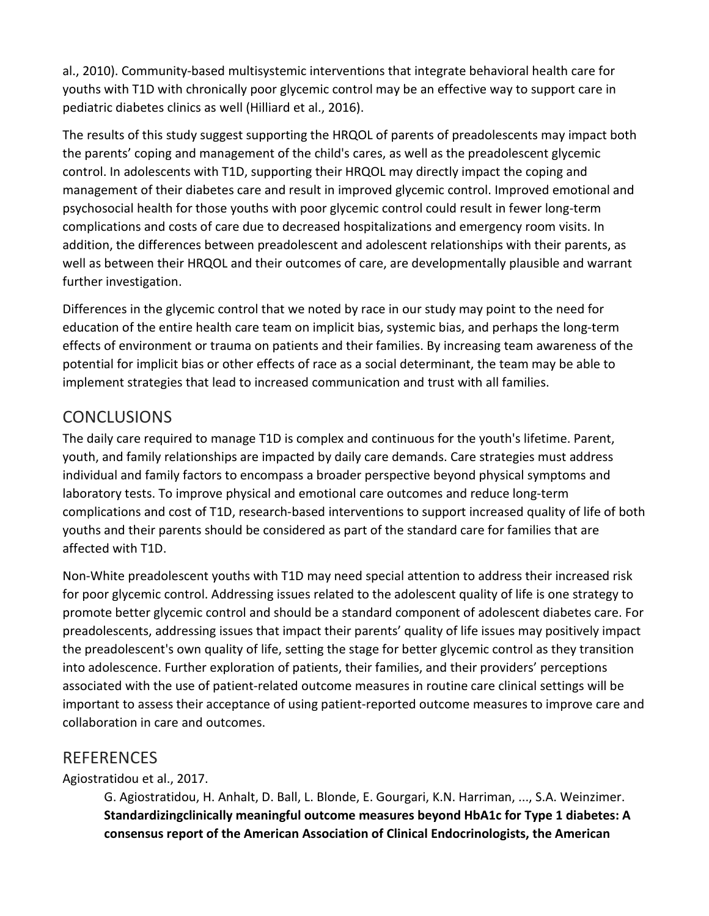al., 2010). Community-based multisystemic interventions that integrate behavioral health care for youths with T1D with chronically poor glycemic control may be an effective way to support care in pediatric diabetes clinics as well (Hilliard et al., 2016).

The results of this study suggest supporting the HRQOL of parents of preadolescents may impact both the parents' coping and management of the child's cares, as well as the preadolescent glycemic control. In adolescents with T1D, supporting their HRQOL may directly impact the coping and management of their diabetes care and result in improved glycemic control. Improved emotional and psychosocial health for those youths with poor glycemic control could result in fewer long-term complications and costs of care due to decreased hospitalizations and emergency room visits. In addition, the differences between preadolescent and adolescent relationships with their parents, as well as between their HRQOL and their outcomes of care, are developmentally plausible and warrant further investigation.

Differences in the glycemic control that we noted by race in our study may point to the need for education of the entire health care team on implicit bias, systemic bias, and perhaps the long-term effects of environment or trauma on patients and their families. By increasing team awareness of the potential for implicit bias or other effects of race as a social determinant, the team may be able to implement strategies that lead to increased communication and trust with all families.

## **CONCLUSIONS**

The daily care required to manage T1D is complex and continuous for the youth's lifetime. Parent, youth, and family relationships are impacted by daily care demands. Care strategies must address individual and family factors to encompass a broader perspective beyond physical symptoms and laboratory tests. To improve physical and emotional care outcomes and reduce long-term complications and cost of T1D, research-based interventions to support increased quality of life of both youths and their parents should be considered as part of the standard care for families that are affected with T1D.

Non-White preadolescent youths with T1D may need special attention to address their increased risk for poor glycemic control. Addressing issues related to the adolescent quality of life is one strategy to promote better glycemic control and should be a standard component of adolescent diabetes care. For preadolescents, addressing issues that impact their parents' quality of life issues may positively impact the preadolescent's own quality of life, setting the stage for better glycemic control as they transition into adolescence. Further exploration of patients, their families, and their providers' perceptions associated with the use of patient-related outcome measures in routine care clinical settings will be important to assess their acceptance of using patient-reported outcome measures to improve care and collaboration in care and outcomes.

## REFERENCES

Agiostratidou et al., 2017.

G. Agiostratidou, H. Anhalt, D. Ball, L. Blonde, E. Gourgari, K.N. Harriman, ..., S.A. Weinzimer. **Standardizingclinically meaningful outcome measures beyond HbA1c for Type 1 diabetes: A consensus report of the American Association of Clinical Endocrinologists, the American**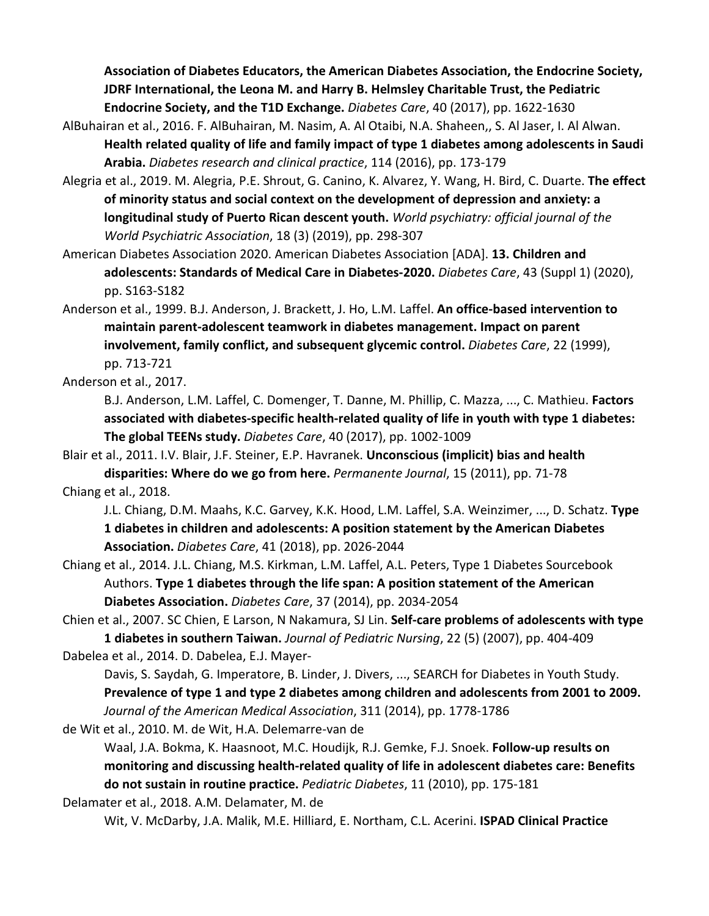**Association of Diabetes Educators, the American Diabetes Association, the Endocrine Society, JDRF International, the Leona M. and Harry B. Helmsley Charitable Trust, the Pediatric Endocrine Society, and the T1D Exchange.** *Diabetes Care*, 40 (2017), pp. 1622-1630

- AlBuhairan et al., 2016. F. AlBuhairan, M. Nasim, A. Al Otaibi, N.A. Shaheen,, S. Al Jaser, I. Al Alwan. **Health related quality of life and family impact of type 1 diabetes among adolescents in Saudi Arabia.** *Diabetes research and clinical practice*, 114 (2016), pp. 173-179
- Alegria et al., 2019. M. Alegria, P.E. Shrout, G. Canino, K. Alvarez, Y. Wang, H. Bird, C. Duarte. **The effect of minority status and social context on the development of depression and anxiety: a longitudinal study of Puerto Rican descent youth.** *World psychiatry: official journal of the World Psychiatric Association*, 18 (3) (2019), pp. 298-307

American Diabetes Association 2020. American Diabetes Association [ADA]. **13. Children and adolescents: Standards of Medical Care in Diabetes-2020.** *Diabetes Care*, 43 (Suppl 1) (2020), pp. S163-S182

Anderson et al., 1999. B.J. Anderson, J. Brackett, J. Ho, L.M. Laffel. **An office-based intervention to maintain parent-adolescent teamwork in diabetes management. Impact on parent involvement, family conflict, and subsequent glycemic control.** *Diabetes Care*, 22 (1999), pp. 713-721

Anderson et al., 2017.

B.J. Anderson, L.M. Laffel, C. Domenger, T. Danne, M. Phillip, C. Mazza, ..., C. Mathieu. **Factors associated with diabetes-specific health-related quality of life in youth with type 1 diabetes: The global TEENs study.** *Diabetes Care*, 40 (2017), pp. 1002-1009

Blair et al., 2011. I.V. Blair, J.F. Steiner, E.P. Havranek. **Unconscious (implicit) bias and health disparities: Where do we go from here.** *Permanente Journal*, 15 (2011), pp. 71-78 Chiang et al., 2018.

J.L. Chiang, D.M. Maahs, K.C. Garvey, K.K. Hood, L.M. Laffel, S.A. Weinzimer, ..., D. Schatz. **Type 1 diabetes in children and adolescents: A position statement by the American Diabetes Association.** *Diabetes Care*, 41 (2018), pp. 2026-2044

- Chiang et al., 2014. J.L. Chiang, M.S. Kirkman, L.M. Laffel, A.L. Peters, Type 1 Diabetes Sourcebook Authors. **Type 1 diabetes through the life span: A position statement of the American Diabetes Association.** *Diabetes Care*, 37 (2014), pp. 2034-2054
- Chien et al., 2007. SC Chien, E Larson, N Nakamura, SJ Lin. **Self-care problems of adolescents with type 1 diabetes in southern Taiwan.** *Journal of Pediatric Nursing*, 22 (5) (2007), pp. 404-409

Dabelea et al., 2014. D. Dabelea, E.J. Mayer-

Davis, S. Saydah, G. Imperatore, B. Linder, J. Divers, ..., SEARCH for Diabetes in Youth Study. **Prevalence of type 1 and type 2 diabetes among children and adolescents from 2001 to 2009.**  *Journal of the American Medical Association*, 311 (2014), pp. 1778-1786

de Wit et al., 2010. M. de Wit, H.A. Delemarre-van de

Waal, J.A. Bokma, K. Haasnoot, M.C. Houdijk, R.J. Gemke, F.J. Snoek. **Follow-up results on monitoring and discussing health-related quality of life in adolescent diabetes care: Benefits do not sustain in routine practice.** *Pediatric Diabetes*, 11 (2010), pp. 175-181

Delamater et al., 2018. A.M. Delamater, M. de

Wit, V. McDarby, J.A. Malik, M.E. Hilliard, E. Northam, C.L. Acerini. **ISPAD Clinical Practice**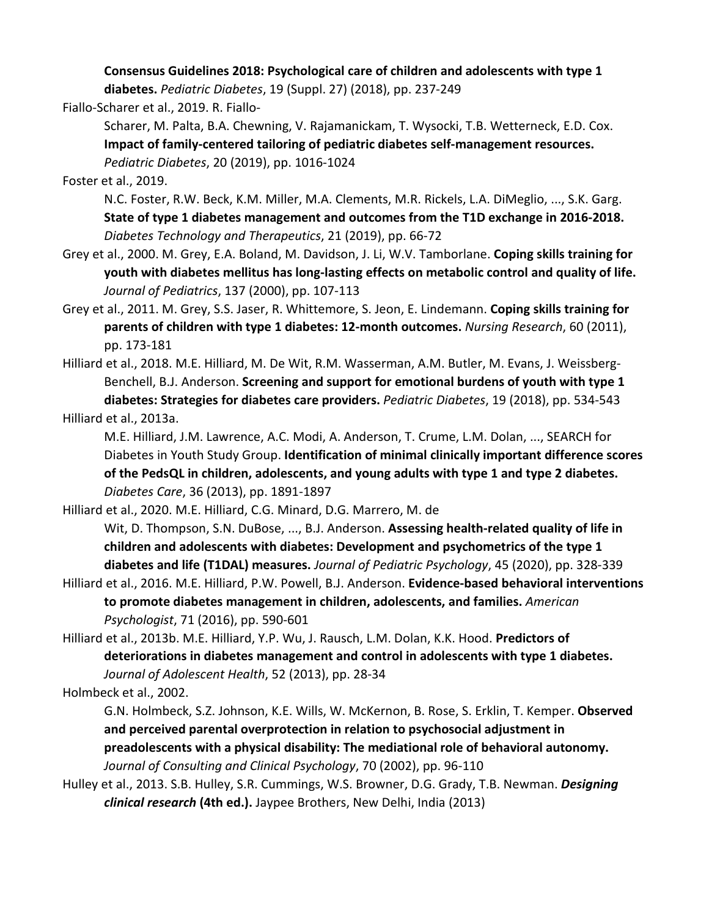**Consensus Guidelines 2018: Psychological care of children and adolescents with type 1** 

**diabetes.** *Pediatric Diabetes*, 19 (Suppl. 27) (2018), pp. 237-249

Fiallo-Scharer et al., 2019. R. Fiallo-

Scharer, M. Palta, B.A. Chewning, V. Rajamanickam, T. Wysocki, T.B. Wetterneck, E.D. Cox. **Impact of family-centered tailoring of pediatric diabetes self-management resources.**  *Pediatric Diabetes*, 20 (2019), pp. 1016-1024

Foster et al., 2019.

N.C. Foster, R.W. Beck, K.M. Miller, M.A. Clements, M.R. Rickels, L.A. DiMeglio, ..., S.K. Garg. **State of type 1 diabetes management and outcomes from the T1D exchange in 2016-2018.**  *Diabetes Technology and Therapeutics*, 21 (2019), pp. 66-72

- Grey et al., 2000. M. Grey, E.A. Boland, M. Davidson, J. Li, W.V. Tamborlane. **Coping skills training for youth with diabetes mellitus has long-lasting effects on metabolic control and quality of life.**  *Journal of Pediatrics*, 137 (2000), pp. 107-113
- Grey et al., 2011. M. Grey, S.S. Jaser, R. Whittemore, S. Jeon, E. Lindemann. **Coping skills training for parents of children with type 1 diabetes: 12-month outcomes.** *Nursing Research*, 60 (2011), pp. 173-181
- Hilliard et al., 2018. M.E. Hilliard, M. De Wit, R.M. Wasserman, A.M. Butler, M. Evans, J. Weissberg-Benchell, B.J. Anderson. **Screening and support for emotional burdens of youth with type 1 diabetes: Strategies for diabetes care providers.** *Pediatric Diabetes*, 19 (2018), pp. 534-543 Hilliard et al., 2013a.

M.E. Hilliard, J.M. Lawrence, A.C. Modi, A. Anderson, T. Crume, L.M. Dolan, ..., SEARCH for Diabetes in Youth Study Group. **Identification of minimal clinically important difference scores of the PedsQL in children, adolescents, and young adults with type 1 and type 2 diabetes.**  *Diabetes Care*, 36 (2013), pp. 1891-1897

Hilliard et al., 2020. M.E. Hilliard, C.G. Minard, D.G. Marrero, M. de

Wit, D. Thompson, S.N. DuBose, ..., B.J. Anderson. **Assessing health-related quality of life in children and adolescents with diabetes: Development and psychometrics of the type 1 diabetes and life (T1DAL) measures.** *Journal of Pediatric Psychology*, 45 (2020), pp. 328-339

Hilliard et al., 2016. M.E. Hilliard, P.W. Powell, B.J. Anderson. **Evidence-based behavioral interventions to promote diabetes management in children, adolescents, and families.** *American Psychologist*, 71 (2016), pp. 590-601

Hilliard et al., 2013b. M.E. Hilliard, Y.P. Wu, J. Rausch, L.M. Dolan, K.K. Hood. **Predictors of deteriorations in diabetes management and control in adolescents with type 1 diabetes.**  *Journal of Adolescent Health*, 52 (2013), pp. 28-34

Holmbeck et al., 2002.

G.N. Holmbeck, S.Z. Johnson, K.E. Wills, W. McKernon, B. Rose, S. Erklin, T. Kemper. **Observed and perceived parental overprotection in relation to psychosocial adjustment in preadolescents with a physical disability: The mediational role of behavioral autonomy.**  *Journal of Consulting and Clinical Psychology*, 70 (2002), pp. 96-110

Hulley et al., 2013. S.B. Hulley, S.R. Cummings, W.S. Browner, D.G. Grady, T.B. Newman. *Designing clinical research* **(4th ed.).** Jaypee Brothers, New Delhi, India (2013)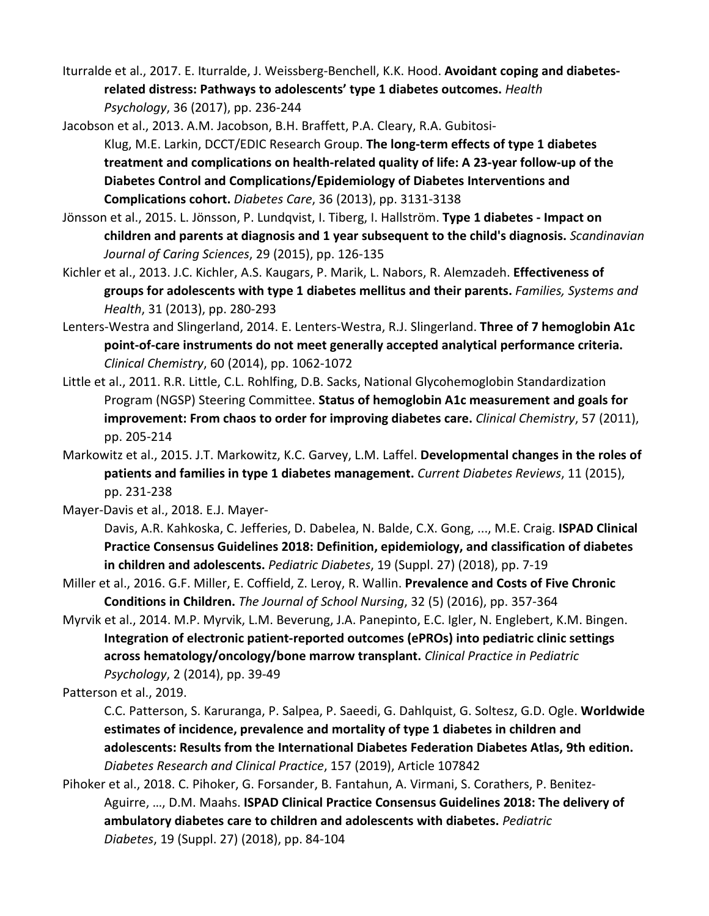Iturralde et al., 2017. E. Iturralde, J. Weissberg-Benchell, K.K. Hood. **Avoidant coping and diabetesrelated distress: Pathways to adolescents' type 1 diabetes outcomes.** *Health Psychology*, 36 (2017), pp. 236-244

Jacobson et al., 2013. A.M. Jacobson, B.H. Braffett, P.A. Cleary, R.A. Gubitosi-

- Klug, M.E. Larkin, DCCT/EDIC Research Group. **The long-term effects of type 1 diabetes treatment and complications on health-related quality of life: A 23-year follow-up of the Diabetes Control and Complications/Epidemiology of Diabetes Interventions and Complications cohort.** *Diabetes Care*, 36 (2013), pp. 3131-3138
- Jönsson et al., 2015. L. Jönsson, P. Lundqvist, I. Tiberg, I. Hallström. **Type 1 diabetes - Impact on children and parents at diagnosis and 1 year subsequent to the child's diagnosis.** *Scandinavian Journal of Caring Sciences*, 29 (2015), pp. 126-135
- Kichler et al., 2013. J.C. Kichler, A.S. Kaugars, P. Marik, L. Nabors, R. Alemzadeh. **Effectiveness of groups for adolescents with type 1 diabetes mellitus and their parents.** *Families, Systems and Health*, 31 (2013), pp. 280-293
- Lenters-Westra and Slingerland, 2014. E. Lenters-Westra, R.J. Slingerland. **Three of 7 hemoglobin A1c point-of-care instruments do not meet generally accepted analytical performance criteria.**  *Clinical Chemistry*, 60 (2014), pp. 1062-1072
- Little et al., 2011. R.R. Little, C.L. Rohlfing, D.B. Sacks, National Glycohemoglobin Standardization Program (NGSP) Steering Committee. **Status of hemoglobin A1c measurement and goals for improvement: From chaos to order for improving diabetes care.** *Clinical Chemistry*, 57 (2011), pp. 205-214
- Markowitz et al., 2015. J.T. Markowitz, K.C. Garvey, L.M. Laffel. **Developmental changes in the roles of patients and families in type 1 diabetes management.** *Current Diabetes Reviews*, 11 (2015), pp. 231-238

Mayer-Davis et al., 2018. E.J. Mayer-

Davis, A.R. Kahkoska, C. Jefferies, D. Dabelea, N. Balde, C.X. Gong, ..., M.E. Craig. **ISPAD Clinical Practice Consensus Guidelines 2018: Definition, epidemiology, and classification of diabetes in children and adolescents.** *Pediatric Diabetes*, 19 (Suppl. 27) (2018), pp. 7-19

- Miller et al., 2016. G.F. Miller, E. Coffield, Z. Leroy, R. Wallin. **Prevalence and Costs of Five Chronic Conditions in Children.** *The Journal of School Nursing*, 32 (5) (2016), pp. 357-364
- Myrvik et al., 2014. M.P. Myrvik, L.M. Beverung, J.A. Panepinto, E.C. Igler, N. Englebert, K.M. Bingen. **Integration of electronic patient-reported outcomes (ePROs) into pediatric clinic settings across hematology/oncology/bone marrow transplant.** *Clinical Practice in Pediatric Psychology*, 2 (2014), pp. 39-49

Patterson et al., 2019.

C.C. Patterson, S. Karuranga, P. Salpea, P. Saeedi, G. Dahlquist, G. Soltesz, G.D. Ogle. **Worldwide estimates of incidence, prevalence and mortality of type 1 diabetes in children and adolescents: Results from the International Diabetes Federation Diabetes Atlas, 9th edition.**  *Diabetes Research and Clinical Practice*, 157 (2019), Article 107842

Pihoker et al., 2018. C. Pihoker, G. Forsander, B. Fantahun, A. Virmani, S. Corathers, P. Benitez-Aguirre, …, D.M. Maahs. **ISPAD Clinical Practice Consensus Guidelines 2018: The delivery of ambulatory diabetes care to children and adolescents with diabetes.** *Pediatric Diabetes*, 19 (Suppl. 27) (2018), pp. 84-104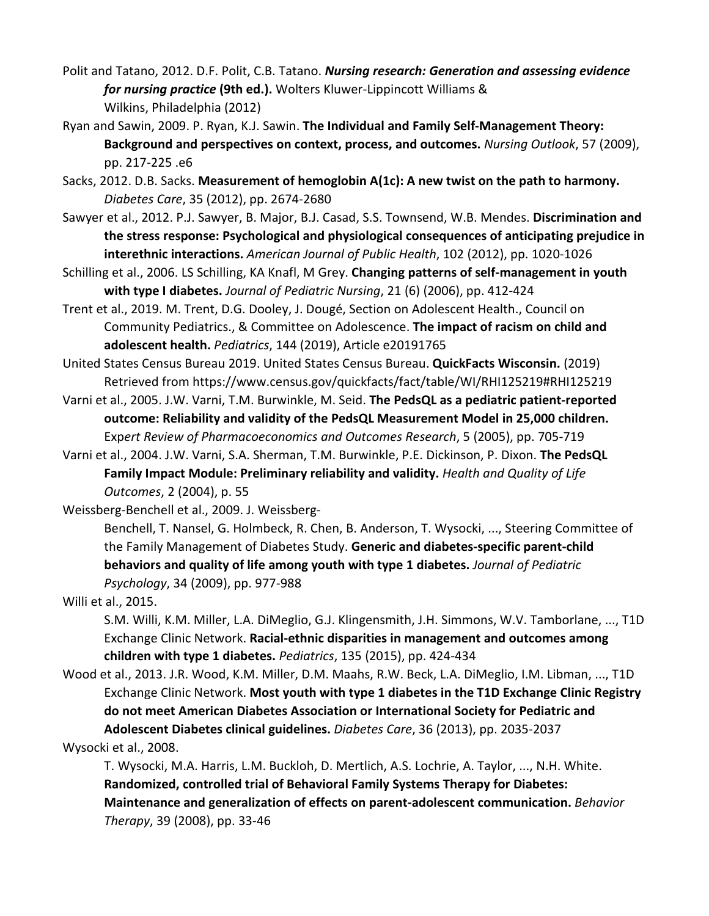- Polit and Tatano, 2012. D.F. Polit, C.B. Tatano. *Nursing research: Generation and assessing evidence for nursing practice* **(9th ed.).** Wolters Kluwer-Lippincott Williams & Wilkins, Philadelphia (2012)
- Ryan and Sawin, 2009. P. Ryan, K.J. Sawin. **The Individual and Family Self-Management Theory: Background and perspectives on context, process, and outcomes.** *Nursing Outlook*, 57 (2009), pp. 217-225 .e6
- Sacks, 2012. D.B. Sacks. **Measurement of hemoglobin A(1c): A new twist on the path to harmony.**  *Diabetes Care*, 35 (2012), pp. 2674-2680
- Sawyer et al., 2012. P.J. Sawyer, B. Major, B.J. Casad, S.S. Townsend, W.B. Mendes. **Discrimination and the stress response: Psychological and physiological consequences of anticipating prejudice in interethnic interactions.** *American Journal of Public Health*, 102 (2012), pp. 1020-1026
- Schilling et al., 2006. LS Schilling, KA Knafl, M Grey. **Changing patterns of self-management in youth with type I diabetes.** *Journal of Pediatric Nursing*, 21 (6) (2006), pp. 412-424
- Trent et al., 2019. M. Trent, D.G. Dooley, J. Dougé, Section on Adolescent Health., Council on Community Pediatrics., & Committee on Adolescence. **The impact of racism on child and adolescent health.** *Pediatrics*, 144 (2019), Article e20191765
- United States Census Bureau 2019. United States Census Bureau. **QuickFacts Wisconsin.** (2019) Retrieved from https://www.census.gov/quickfacts/fact/table/WI/RHI125219#RHI125219
- Varni et al., 2005. J.W. Varni, T.M. Burwinkle, M. Seid. **The PedsQL as a pediatric patient-reported outcome: Reliability and validity of the PedsQL Measurement Model in 25,000 children.**  Exp*ert Review of Pharmacoeconomics and Outcomes Research*, 5 (2005), pp. 705-719
- Varni et al., 2004. J.W. Varni, S.A. Sherman, T.M. Burwinkle, P.E. Dickinson, P. Dixon. **The PedsQL Family Impact Module: Preliminary reliability and validity.** *Health and Quality of Life Outcomes*, 2 (2004), p. 55

Weissberg-Benchell et al., 2009. J. Weissberg-

Benchell, T. Nansel, G. Holmbeck, R. Chen, B. Anderson, T. Wysocki, ..., Steering Committee of the Family Management of Diabetes Study. **Generic and diabetes-specific parent-child behaviors and quality of life among youth with type 1 diabetes.** *Journal of Pediatric Psychology*, 34 (2009), pp. 977-988

Willi et al., 2015.

S.M. Willi, K.M. Miller, L.A. DiMeglio, G.J. Klingensmith, J.H. Simmons, W.V. Tamborlane, ..., T1D Exchange Clinic Network. **Racial-ethnic disparities in management and outcomes among children with type 1 diabetes.** *Pediatrics*, 135 (2015), pp. 424-434

Wood et al., 2013. J.R. Wood, K.M. Miller, D.M. Maahs, R.W. Beck, L.A. DiMeglio, I.M. Libman, ..., T1D Exchange Clinic Network. **Most youth with type 1 diabetes in the T1D Exchange Clinic Registry do not meet American Diabetes Association or International Society for Pediatric and Adolescent Diabetes clinical guidelines.** *Diabetes Care*, 36 (2013), pp. 2035-2037

Wysocki et al., 2008.

T. Wysocki, M.A. Harris, L.M. Buckloh, D. Mertlich, A.S. Lochrie, A. Taylor, ..., N.H. White. **Randomized, controlled trial of Behavioral Family Systems Therapy for Diabetes: Maintenance and generalization of effects on parent-adolescent communication.** *Behavior Therapy*, 39 (2008), pp. 33-46